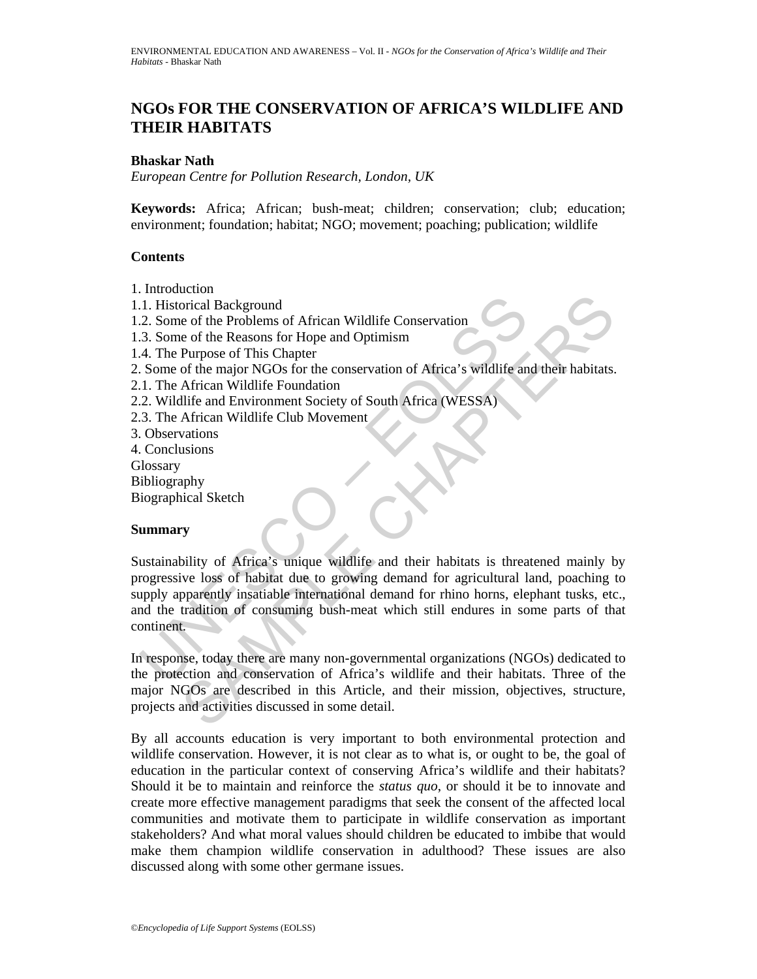# **NGOs FOR THE CONSERVATION OF AFRICA'S WILDLIFE AND THEIR HABITATS**

#### **Bhaskar Nath**

*European Centre for Pollution Research, London, UK* 

**Keywords:** Africa; African; bush-meat; children; conservation; club; education; environment; foundation; habitat; NGO; movement; poaching; publication; wildlife

#### **Contents**

- 1. Introduction
- 1.1. Historical Background
- 1.2. Some of the Problems of African Wildlife Conservation
- 1.3. Some of the Reasons for Hope and Optimism
- 1.4. The Purpose of This Chapter
- 2. Some of the major NGOs for the conservation of Africa's wildlife and their habitats.
- 2.1. The African Wildlife Foundation
- 2.2. Wildlife and Environment Society of South Africa (WESSA)
- 2.3. The African Wildlife Club Movement
- 3. Observations
- 4. Conclusions
- Glossary
- Bibliography

Biographical Sketch

#### **Summary**

1. Historical Background<br>
2. Some of the Problems of African Wildlife Conservation<br>
2. Some of the Reasons for Hope and Optimism<br>
4. The Purpose of This Chapter<br>
5. Some of the major NGOs for the conservation of Africa's w Example of the Problems of African Wildlife Conservation<br>
orical Background<br>
c of the Reasons for African Wildlife Conservation<br>
Purpose of This Chapter<br>
of the major NGOs for the conservation of Africa's wildlife and thei Sustainability of Africa's unique wildlife and their habitats is threatened mainly by progressive loss of habitat due to growing demand for agricultural land, poaching to supply apparently insatiable international demand for rhino horns, elephant tusks, etc., and the tradition of consuming bush-meat which still endures in some parts of that continent.

In response, today there are many non-governmental organizations (NGOs) dedicated to the protection and conservation of Africa's wildlife and their habitats. Three of the major NGOs are described in this Article, and their mission, objectives, structure, projects and activities discussed in some detail.

By all accounts education is very important to both environmental protection and wildlife conservation. However, it is not clear as to what is, or ought to be, the goal of education in the particular context of conserving Africa's wildlife and their habitats? Should it be to maintain and reinforce the *status quo*, or should it be to innovate and create more effective management paradigms that seek the consent of the affected local communities and motivate them to participate in wildlife conservation as important stakeholders? And what moral values should children be educated to imbibe that would make them champion wildlife conservation in adulthood? These issues are also discussed along with some other germane issues.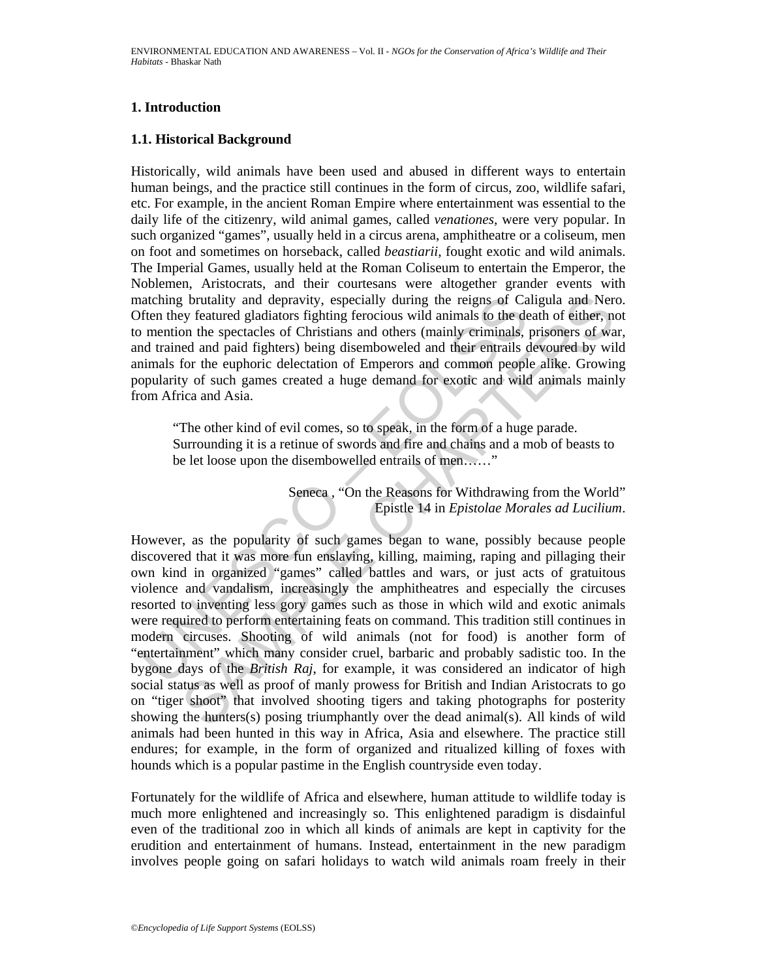# **1. Introduction**

### **1.1. Historical Background**

Historically, wild animals have been used and abused in different ways to entertain human beings, and the practice still continues in the form of circus, zoo, wildlife safari, etc. For example, in the ancient Roman Empire where entertainment was essential to the daily life of the citizenry, wild animal games, called *venationes,* were very popular. In such organized "games", usually held in a circus arena, amphitheatre or a coliseum, men on foot and sometimes on horseback, called *beastiarii,* fought exotic and wild animals. The Imperial Games, usually held at the Roman Coliseum to entertain the Emperor, the Noblemen, Aristocrats, and their courtesans were altogether grander events with matching brutality and depravity, especially during the reigns of Caligula and Nero. Often they featured gladiators fighting ferocious wild animals to the death of either, not to mention the spectacles of Christians and others (mainly criminals, prisoners of war, and trained and paid fighters) being disemboweled and their entrails devoured by wild animals for the euphoric delectation of Emperors and common people alike. Growing popularity of such games created a huge demand for exotic and wild animals mainly from Africa and Asia.

"The other kind of evil comes, so to speak, in the form of a huge parade. Surrounding it is a retinue of swords and fire and chains and a mob of beasts to be let loose upon the disembowelled entrails of men......"

> Seneca , "On the Reasons for Withdrawing from the World" Epistle 14 in *Epistolae Morales ad Lucilium*.

atching brutality and depravity, especially during the reigns of Caften they featured gladiators fighting ferocious wild animals to the de mention the spectacles of Christians and others (mainly criminals, to mention the a g brutality and depravity, especially during the reigns of Caligula and Nert<br>of chinding forecolous wild animals to the death of either, not<br>on the spectacles of Christians and others (mainly criminals, prisoners of waved However, as the popularity of such games began to wane, possibly because people discovered that it was more fun enslaving, killing, maiming, raping and pillaging their own kind in organized "games" called battles and wars, or just acts of gratuitous violence and vandalism, increasingly the amphitheatres and especially the circuses resorted to inventing less gory games such as those in which wild and exotic animals were required to perform entertaining feats on command. This tradition still continues in modern circuses. Shooting of wild animals (not for food) is another form of "entertainment" which many consider cruel, barbaric and probably sadistic too. In the bygone days of the *British Raj*, for example, it was considered an indicator of high social status as well as proof of manly prowess for British and Indian Aristocrats to go on "tiger shoot" that involved shooting tigers and taking photographs for posterity showing the hunters(s) posing triumphantly over the dead animal(s). All kinds of wild animals had been hunted in this way in Africa, Asia and elsewhere. The practice still endures; for example, in the form of organized and ritualized killing of foxes with hounds which is a popular pastime in the English countryside even today.

Fortunately for the wildlife of Africa and elsewhere, human attitude to wildlife today is much more enlightened and increasingly so. This enlightened paradigm is disdainful even of the traditional zoo in which all kinds of animals are kept in captivity for the erudition and entertainment of humans. Instead, entertainment in the new paradigm involves people going on safari holidays to watch wild animals roam freely in their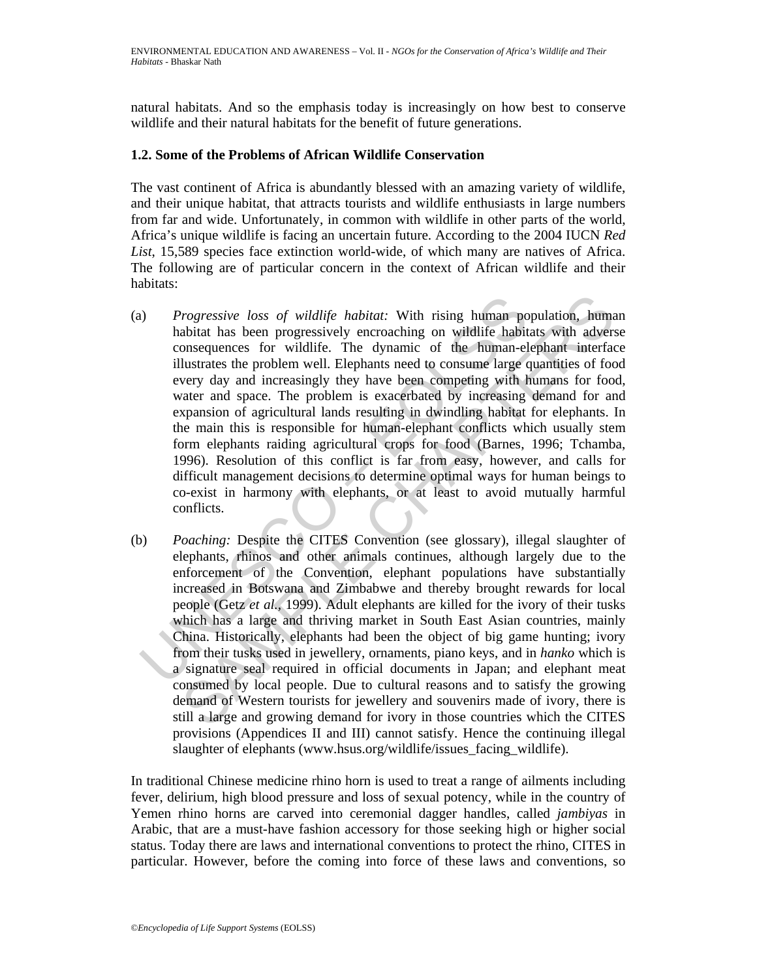natural habitats. And so the emphasis today is increasingly on how best to conserve wildlife and their natural habitats for the benefit of future generations.

#### **1.2. Some of the Problems of African Wildlife Conservation**

The vast continent of Africa is abundantly blessed with an amazing variety of wildlife, and their unique habitat, that attracts tourists and wildlife enthusiasts in large numbers from far and wide. Unfortunately, in common with wildlife in other parts of the world, Africa's unique wildlife is facing an uncertain future. According to the 2004 IUCN *Red List*, 15,589 species face extinction world-wide, of which many are natives of Africa. The following are of particular concern in the context of African wildlife and their habitats:

- The *Progressive loss of wildlife habitat:* With rising human po<br>habitat has been progressively encroaching on wildlife habit<br>consequences for wildlife. The dynamic of the human-el<br>illustrates the problem well. Elephants *rogressive loss of wildlife habitat:* With rising human population, humabitat has been progressively encroaching on wildlife habitats with adversing<br>consequences for wildlife. The dynamic of the human-elephant interfactua (a) *Progressive loss of wildlife habitat:* With rising human population, human habitat has been progressively encroaching on wildlife habitats with adverse consequences for wildlife. The dynamic of the human-elephant interface illustrates the problem well. Elephants need to consume large quantities of food every day and increasingly they have been competing with humans for food, water and space. The problem is exacerbated by increasing demand for and expansion of agricultural lands resulting in dwindling habitat for elephants. In the main this is responsible for human-elephant conflicts which usually stem form elephants raiding agricultural crops for food (Barnes, 1996; Tchamba, 1996). Resolution of this conflict is far from easy, however, and calls for difficult management decisions to determine optimal ways for human beings to co-exist in harmony with elephants, or at least to avoid mutually harmful conflicts.
- (b) *Poaching:* Despite the CITES Convention (see glossary), illegal slaughter of elephants, rhinos and other animals continues, although largely due to the enforcement of the Convention, elephant populations have substantially increased in Botswana and Zimbabwe and thereby brought rewards for local people (Getz *et al.,* 1999). Adult elephants are killed for the ivory of their tusks which has a large and thriving market in South East Asian countries, mainly China. Historically, elephants had been the object of big game hunting; ivory from their tusks used in jewellery, ornaments, piano keys, and in *hanko* which is a signature seal required in official documents in Japan; and elephant meat consumed by local people. Due to cultural reasons and to satisfy the growing demand of Western tourists for jewellery and souvenirs made of ivory, there is still a large and growing demand for ivory in those countries which the CITES provisions (Appendices II and III) cannot satisfy. Hence the continuing illegal slaughter of elephants (www.hsus.org/wildlife/issues facing wildlife).

In traditional Chinese medicine rhino horn is used to treat a range of ailments including fever, delirium, high blood pressure and loss of sexual potency, while in the country of Yemen rhino horns are carved into ceremonial dagger handles, called *jambiyas* in Arabic, that are a must-have fashion accessory for those seeking high or higher social status. Today there are laws and international conventions to protect the rhino, CITES in particular. However, before the coming into force of these laws and conventions, so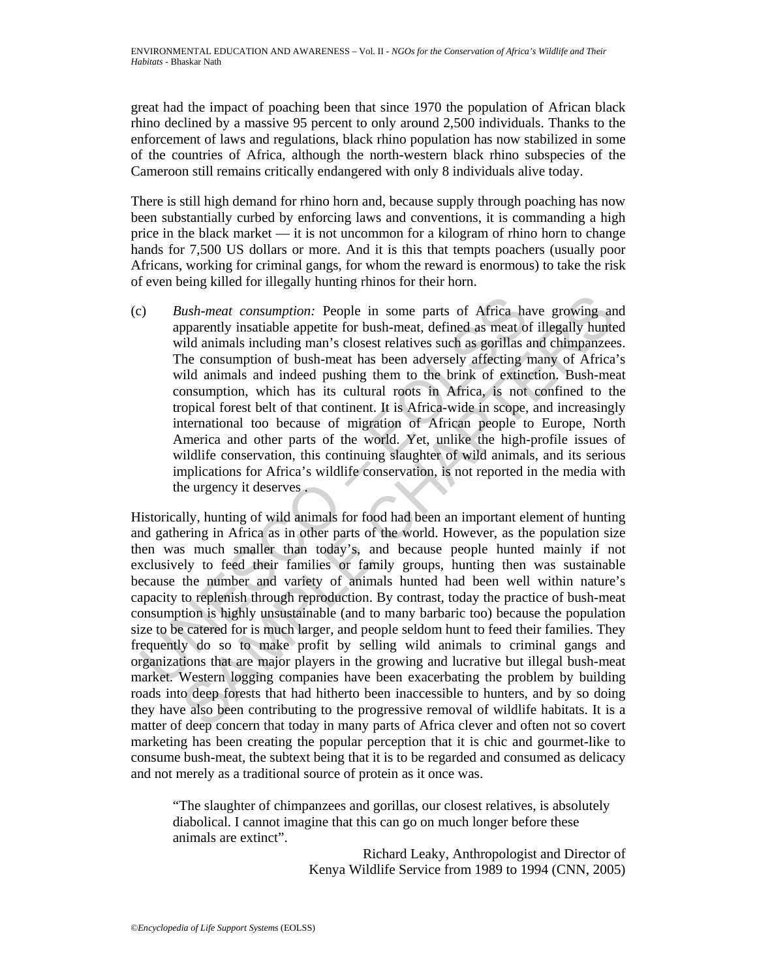great had the impact of poaching been that since 1970 the population of African black rhino declined by a massive 95 percent to only around 2,500 individuals. Thanks to the enforcement of laws and regulations, black rhino population has now stabilized in some of the countries of Africa, although the north-western black rhino subspecies of the Cameroon still remains critically endangered with only 8 individuals alive today.

There is still high demand for rhino horn and, because supply through poaching has now been substantially curbed by enforcing laws and conventions, it is commanding a high price in the black market — it is not uncommon for a kilogram of rhino horn to change hands for 7,500 US dollars or more. And it is this that tempts poachers (usually poor Africans, working for criminal gangs, for whom the reward is enormous) to take the risk of even being killed for illegally hunting rhinos for their horn.

S) Bush-meat consumption: People in some parts of Africa happarently insatiable appetite for bush-meat, defined as meat o wild animals including man's closest relatives such as gorillas The consumption of bush-meat has bee (c) *Bush-meat consumption:* People in some parts of Africa have growing and apparently insatiable appetite for bush-meat, defined as meat of illegally hunted wild animals including man's closest relatives such as gorillas and chimpanzees. The consumption of bush-meat has been adversely affecting many of Africa's wild animals and indeed pushing them to the brink of extinction. Bush-meat consumption, which has its cultural roots in Africa, is not confined to the tropical forest belt of that continent. It is Africa-wide in scope, and increasingly international too because of migration of African people to Europe, North America and other parts of the world. Yet, unlike the high-profile issues of wildlife conservation, this continuing slaughter of wild animals, and its serious implications for Africa's wildlife conservation, is not reported in the media with the urgency it deserves .

*ush-meat consumption*: People in some parts of Africa-have growing an<br>pharently instatiable appetite for bush-meat, defined as meat of illegally hunte<br>idl animals including man's closest relatives such as gorillas and chi Historically, hunting of wild animals for food had been an important element of hunting and gathering in Africa as in other parts of the world. However, as the population size then was much smaller than today's, and because people hunted mainly if not exclusively to feed their families or family groups, hunting then was sustainable because the number and variety of animals hunted had been well within nature's capacity to replenish through reproduction. By contrast, today the practice of bush-meat consumption is highly unsustainable (and to many barbaric too) because the population size to be catered for is much larger, and people seldom hunt to feed their families. They frequently do so to make profit by selling wild animals to criminal gangs and organizations that are major players in the growing and lucrative but illegal bush-meat market. Western logging companies have been exacerbating the problem by building roads into deep forests that had hitherto been inaccessible to hunters, and by so doing they have also been contributing to the progressive removal of wildlife habitats. It is a matter of deep concern that today in many parts of Africa clever and often not so covert marketing has been creating the popular perception that it is chic and gourmet-like to consume bush-meat, the subtext being that it is to be regarded and consumed as delicacy and not merely as a traditional source of protein as it once was.

"The slaughter of chimpanzees and gorillas, our closest relatives, is absolutely diabolical. I cannot imagine that this can go on much longer before these animals are extinct".

> Richard Leaky, Anthropologist and Director of Kenya Wildlife Service from 1989 to 1994 (CNN, 2005)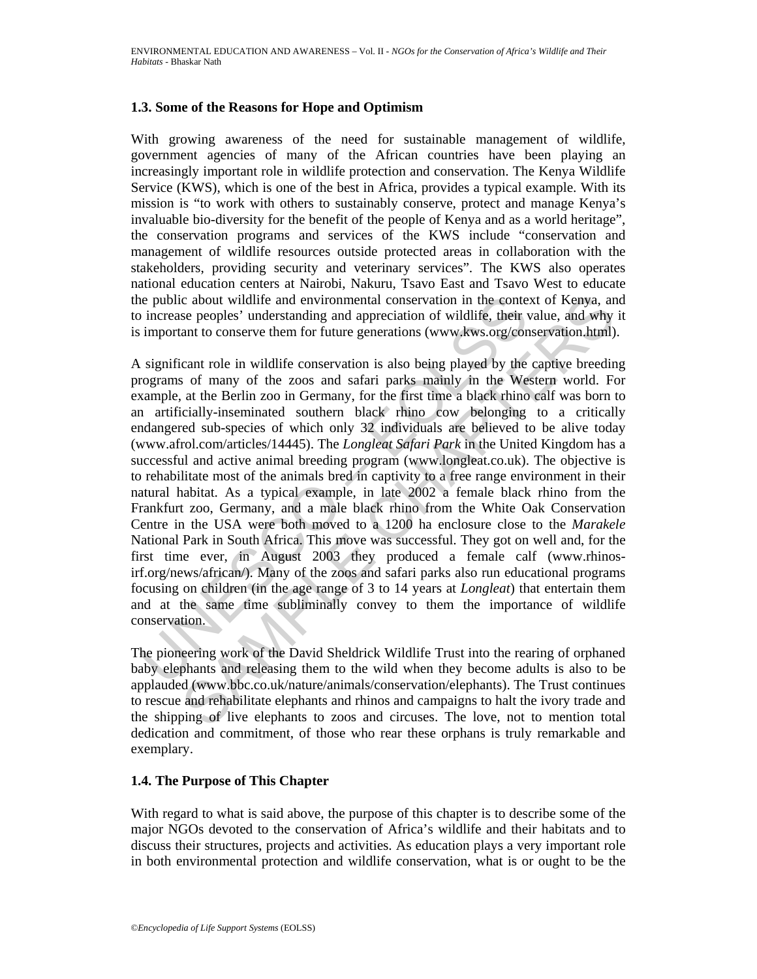#### **1.3. Some of the Reasons for Hope and Optimism**

With growing awareness of the need for sustainable management of wildlife, government agencies of many of the African countries have been playing an increasingly important role in wildlife protection and conservation. The Kenya Wildlife Service (KWS), which is one of the best in Africa, provides a typical example. With its mission is "to work with others to sustainably conserve, protect and manage Kenya's invaluable bio-diversity for the benefit of the people of Kenya and as a world heritage", the conservation programs and services of the KWS include "conservation and management of wildlife resources outside protected areas in collaboration with the stakeholders, providing security and veterinary services". The KWS also operates national education centers at Nairobi, Nakuru, Tsavo East and Tsavo West to educate the public about wildlife and environmental conservation in the context of Kenya, and to increase peoples' understanding and appreciation of wildlife, their value, and why it is important to conserve them for future generations (www.kws.org/conservation.html).

is public about wildlife and environmental conservation in the conte<br>
increase peoples' understanding and appreciation of wildlife, their<br>
important to conserve them for future generations (www.kws.org/con<br>
significant rol c about wildlife and environmental conservation in the context of Kenya, anse peoples' understanding and appreciation of wildlife. their value, and why can to conserve them for tuture generations (www.kws.org/onservation A significant role in wildlife conservation is also being played by the captive breeding programs of many of the zoos and safari parks mainly in the Western world. For example, at the Berlin zoo in Germany, for the first time a black rhino calf was born to an artificially-inseminated southern black rhino cow belonging to a critically endangered sub-species of which only 32 individuals are believed to be alive today (www.afrol.com/articles/14445). The *Longleat Safari Park* in the United Kingdom has a successful and active animal breeding program (www.longleat.co.uk). The objective is to rehabilitate most of the animals bred in captivity to a free range environment in their natural habitat. As a typical example, in late 2002 a female black rhino from the Frankfurt zoo, Germany, and a male black rhino from the White Oak Conservation Centre in the USA were both moved to a 1200 ha enclosure close to the *Marakele*  National Park in South Africa. This move was successful. They got on well and, for the first time ever, in August 2003 they produced a female calf (www.rhinosirf.org/news/african/). Many of the zoos and safari parks also run educational programs focusing on children (in the age range of 3 to 14 years at *Longleat*) that entertain them and at the same time subliminally convey to them the importance of wildlife conservation.

The pioneering work of the David Sheldrick Wildlife Trust into the rearing of orphaned baby elephants and releasing them to the wild when they become adults is also to be applauded (www.bbc.co.uk/nature/animals/conservation/elephants). The Trust continues to rescue and rehabilitate elephants and rhinos and campaigns to halt the ivory trade and the shipping of live elephants to zoos and circuses. The love, not to mention total dedication and commitment, of those who rear these orphans is truly remarkable and exemplary.

### **1.4. The Purpose of This Chapter**

With regard to what is said above, the purpose of this chapter is to describe some of the major NGOs devoted to the conservation of Africa's wildlife and their habitats and to discuss their structures, projects and activities. As education plays a very important role in both environmental protection and wildlife conservation, what is or ought to be the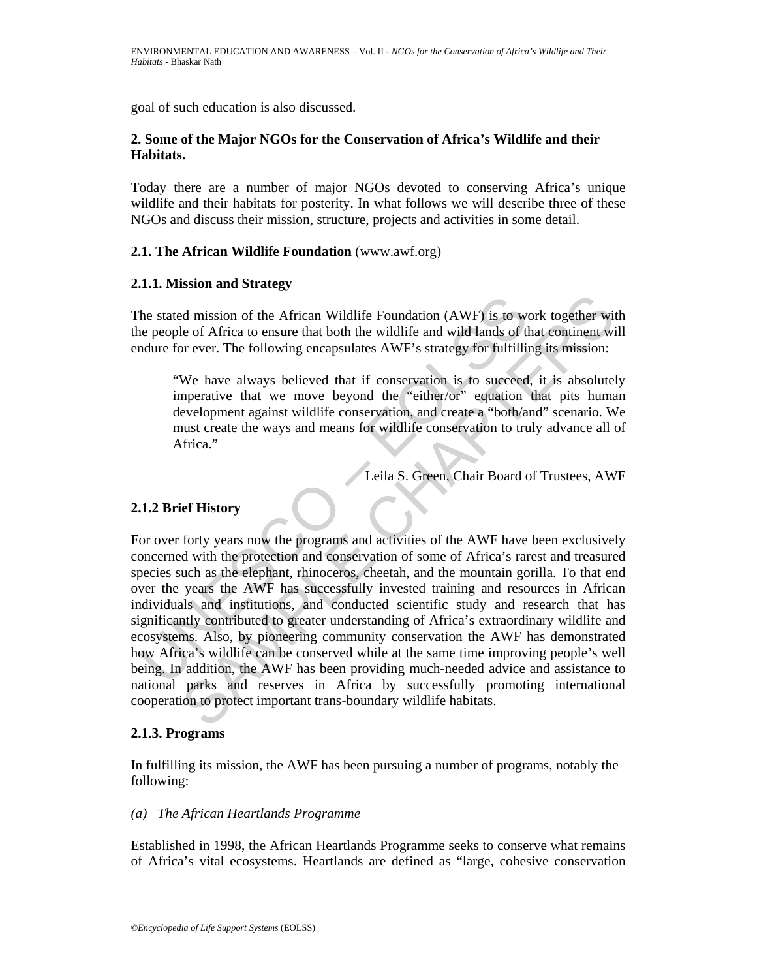goal of such education is also discussed.

#### **2. Some of the Major NGOs for the Conservation of Africa's Wildlife and their Habitats.**

Today there are a number of major NGOs devoted to conserving Africa's unique wildlife and their habitats for posterity. In what follows we will describe three of these NGOs and discuss their mission, structure, projects and activities in some detail.

# **2.1. The African Wildlife Foundation** (www.awf.org)

#### **2.1.1. Mission and Strategy**

The stated mission of the African Wildlife Foundation (AWF) is to work together with the people of Africa to ensure that both the wildlife and wild lands of that continent will endure for ever. The following encapsulates AWF's strategy for fulfilling its mission:

"We have always believed that if conservation is to succeed, it is absolutely imperative that we move beyond the "either/or" equation that pits human development against wildlife conservation, and create a "both/and" scenario. We must create the ways and means for wildlife conservation to truly advance all of Africa."

Leila S. Green, Chair Board of Trustees, AWF

#### **2.1.2 Brief History**

The stated mission of the African Wildlife Foundation (AWF) is to we<br>nee people of Africa to ensure that both the wildlife and wild lands of the<br>ndure for ever. The following encapsulates AWF's strategy for fulfillin<br>"We h d mission of the African Wildlife Foundation (AWF) is to work together with the of Africa to ensure that both the wildlife and wild lands of that continent with the versect. The following encapsulates AWF's strategy for fu For over forty years now the programs and activities of the AWF have been exclusively concerned with the protection and conservation of some of Africa's rarest and treasured species such as the elephant, rhinoceros, cheetah, and the mountain gorilla. To that end over the years the AWF has successfully invested training and resources in African individuals and institutions, and conducted scientific study and research that has significantly contributed to greater understanding of Africa's extraordinary wildlife and ecosystems. Also, by pioneering community conservation the AWF has demonstrated how Africa's wildlife can be conserved while at the same time improving people's well being. In addition, the AWF has been providing much-needed advice and assistance to national parks and reserves in Africa by successfully promoting international cooperation to protect important trans-boundary wildlife habitats.

#### **2.1.3. Programs**

In fulfilling its mission, the AWF has been pursuing a number of programs, notably the following:

*(a) The African Heartlands Programme* 

Established in 1998, the African Heartlands Programme seeks to conserve what remains of Africa's vital ecosystems. Heartlands are defined as "large, cohesive conservation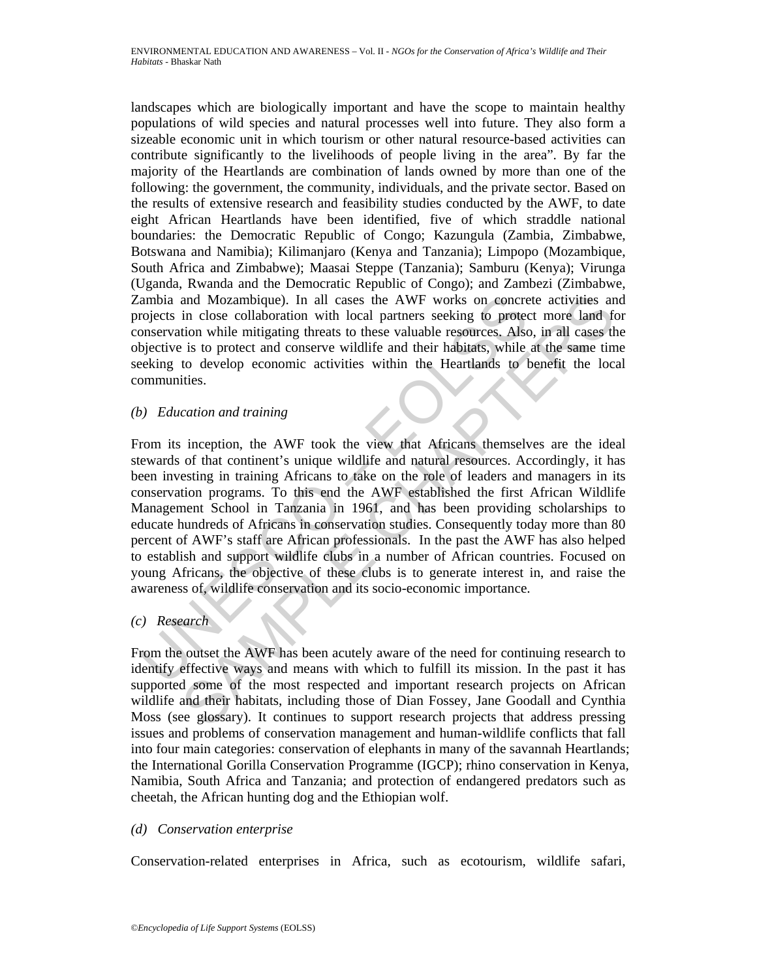landscapes which are biologically important and have the scope to maintain healthy populations of wild species and natural processes well into future. They also form a sizeable economic unit in which tourism or other natural resource-based activities can contribute significantly to the livelihoods of people living in the area". By far the majority of the Heartlands are combination of lands owned by more than one of the following: the government, the community, individuals, and the private sector. Based on the results of extensive research and feasibility studies conducted by the AWF, to date eight African Heartlands have been identified, five of which straddle national boundaries: the Democratic Republic of Congo; Kazungula (Zambia, Zimbabwe, Botswana and Namibia); Kilimanjaro (Kenya and Tanzania); Limpopo (Mozambique, South Africa and Zimbabwe); Maasai Steppe (Tanzania); Samburu (Kenya); Virunga (Uganda, Rwanda and the Democratic Republic of Congo); and Zambezi (Zimbabwe, Zambia and Mozambique). In all cases the AWF works on concrete activities and projects in close collaboration with local partners seeking to protect more land for conservation while mitigating threats to these valuable resources. Also, in all cases the objective is to protect and conserve wildlife and their habitats, while at the same time seeking to develop economic activities within the Heartlands to benefit the local communities.

*(b) Education and training* 

ambia and Mozambique). In all cases the AWF works on concretorion with local partners seeking to protect in close collaboration with local partners seeking to protect below inservation while mitigating threats to these val and Mozambique). In all cases the AWF works on concrete activities an in close collaboration with local partners secking to protect more land for the intigating threats othese valuable resources. Also, in all cases this to From its inception, the AWF took the view that Africans themselves are the ideal stewards of that continent's unique wildlife and natural resources. Accordingly, it has been investing in training Africans to take on the role of leaders and managers in its conservation programs. To this end the AWF established the first African Wildlife Management School in Tanzania in 1961, and has been providing scholarships to educate hundreds of Africans in conservation studies. Consequently today more than 80 percent of AWF's staff are African professionals. In the past the AWF has also helped to establish and support wildlife clubs in a number of African countries. Focused on young Africans, the objective of these clubs is to generate interest in, and raise the awareness of, wildlife conservation and its socio-economic importance.

*(c) Research* 

From the outset the AWF has been acutely aware of the need for continuing research to identify effective ways and means with which to fulfill its mission. In the past it has supported some of the most respected and important research projects on African wildlife and their habitats, including those of Dian Fossey, Jane Goodall and Cynthia Moss (see glossary). It continues to support research projects that address pressing issues and problems of conservation management and human-wildlife conflicts that fall into four main categories: conservation of elephants in many of the savannah Heartlands; the International Gorilla Conservation Programme (IGCP); rhino conservation in Kenya, Namibia, South Africa and Tanzania; and protection of endangered predators such as cheetah, the African hunting dog and the Ethiopian wolf.

*(d) Conservation enterprise* 

Conservation-related enterprises in Africa, such as ecotourism, wildlife safari,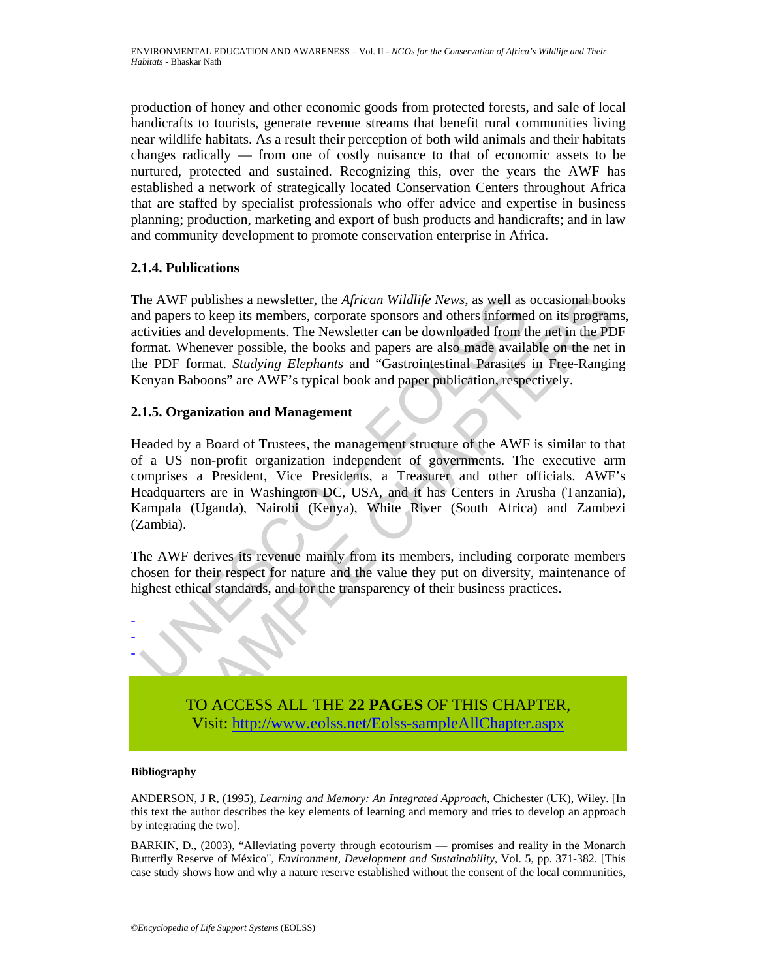production of honey and other economic goods from protected forests, and sale of local handicrafts to tourists, generate revenue streams that benefit rural communities living near wildlife habitats. As a result their perception of both wild animals and their habitats changes radically — from one of costly nuisance to that of economic assets to be nurtured, protected and sustained. Recognizing this, over the years the AWF has established a network of strategically located Conservation Centers throughout Africa that are staffed by specialist professionals who offer advice and expertise in business planning; production, marketing and export of bush products and handicrafts; and in law and community development to promote conservation enterprise in Africa.

# **2.1.4. Publications**

The AWF publishes a newsletter, the *African Wildlife News*, as well as occasional books and papers to keep its members, corporate sponsors and others informed on its programs, activities and developments. The Newsletter can be downloaded from the net in the PDF format. Whenever possible, the books and papers are also made available on the net in the PDF format. *Studying Elephants* and "Gastrointestinal Parasites in Free-Ranging Kenyan Baboons" are AWF's typical book and paper publication, respectively.

# **2.1.5. Organization and Management**

the AWF publishes a newsletter, the *African Wildlife News*, as well as<br>d papers to keep its members, corporate sponsors and others informed<br>trivities and developments. The Newsletter can be downloaded from the<br>primeral. W F publishes a newsletter, the *African Wildlife News*, as well as occasional book<br>as to tocep its members, corporate sponsors and others informed on its program<br>and developments. The Newsletter can be downloaded from the Headed by a Board of Trustees, the management structure of the AWF is similar to that of a US non-profit organization independent of governments. The executive arm comprises a President, Vice Presidents, a Treasurer and other officials. AWF's Headquarters are in Washington DC, USA, and it has Centers in Arusha (Tanzania), Kampala (Uganda), Nairobi (Kenya), White River (South Africa) and Zambezi (Zambia).

The AWF derives its revenue mainly from its members, including corporate members chosen for their respect for nature and the value they put on diversity, maintenance of highest ethical standards, and for the transparency of their business practices.



TO ACCESS ALL THE **22 PAGES** OF THIS CHAPTER, Visit: http://www.eolss.net/Eolss-sampleAllChapter.aspx

#### **Bibliography**

ANDERSON, J R, (1995), *Learning and Memory: An Integrated Approach*, Chichester (UK), Wiley. [In this text the author describes the key elements of learning and memory and tries to develop an approach by integrating the two].

BARKIN, D., (2003), "Alleviating poverty through ecotourism — promises and reality in the Monarch Butterfly Reserve of México", *Environment, Development and Sustainability*, Vol. 5, pp. 371-382. [This case study shows how and why a nature reserve established without the consent of the local communities,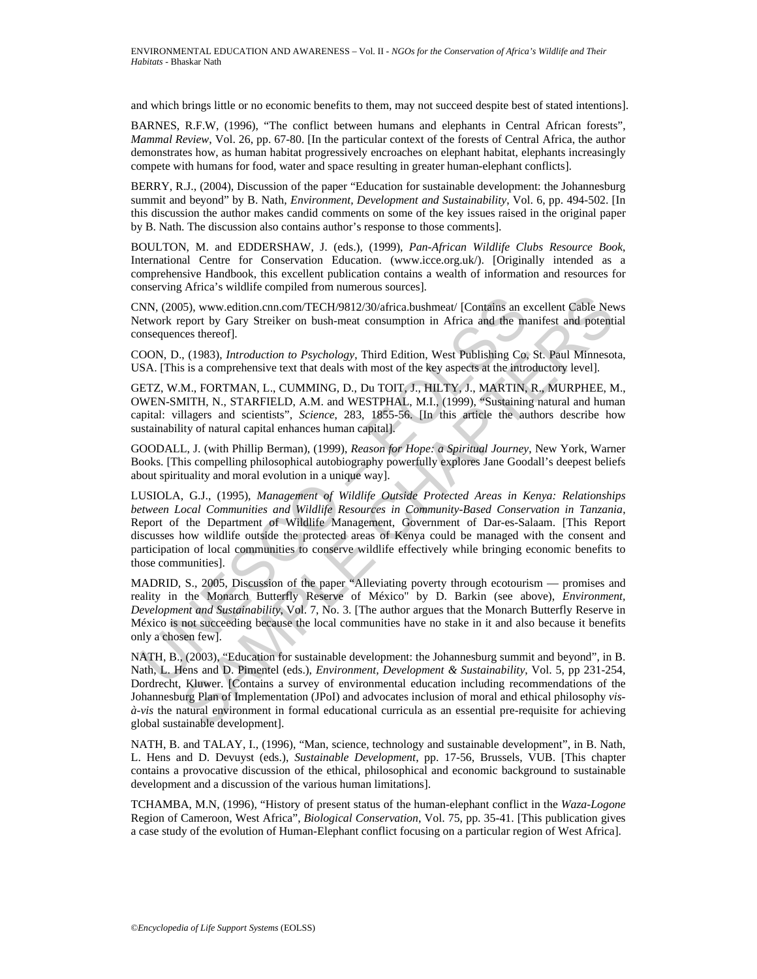and which brings little or no economic benefits to them, may not succeed despite best of stated intentions].

BARNES, R.F.W, (1996), "The conflict between humans and elephants in Central African forests", *Mammal Review*, Vol. 26, pp. 67-80. [In the particular context of the forests of Central Africa, the author demonstrates how, as human habitat progressively encroaches on elephant habitat, elephants increasingly compete with humans for food, water and space resulting in greater human-elephant conflicts].

BERRY, R.J., (2004), Discussion of the paper "Education for sustainable development: the Johannesburg summit and beyond" by B. Nath, *Environment, Development and Sustainability*, Vol. 6, pp. 494-502. [In this discussion the author makes candid comments on some of the key issues raised in the original paper by B. Nath. The discussion also contains author's response to those comments].

BOULTON, M. and EDDERSHAW, J. (eds.), (1999), *Pan-African Wildlife Clubs Resource Book*, International Centre for Conservation Education. (www.icce.org.uk/). [Originally intended as a comprehensive Handbook, this excellent publication contains a wealth of information and resources for conserving Africa's wildlife compiled from numerous sources].

CNN, (2005), www.edition.cnn.com/TECH/9812/30/africa.bushmeat/ [Contains an excellent Cable News Network report by Gary Streiker on bush-meat consumption in Africa and the manifest and potential consequences thereof].

COON, D., (1983), *Introduction to Psychology*, Third Edition, West Publishing Co, St. Paul Minnesota, USA. [This is a comprehensive text that deals with most of the key aspects at the introductory level].

GETZ, W.M., FORTMAN, L., CUMMING, D., Du TOIT, J., HILTY, J., MARTIN, R., MURPHEE, M., OWEN-SMITH, N., STARFIELD, A.M. and WESTPHAL, M.I., (1999), "Sustaining natural and human capital: villagers and scientists", *Science*, 283, 1855-56. [In this article the authors describe how sustainability of natural capital enhances human capital].

GOODALL, J. (with Phillip Berman), (1999), *Reason for Hope: a Spiritual Journey*, New York, Warner Books. [This compelling philosophical autobiography powerfully explores Jane Goodall's deepest beliefs about spirituality and moral evolution in a unique way].

NN, (2005), www.edition.cnn.com/TECH/9812/30/africa.bushmeat/ [Contains an eitwork report by Gary Streiker on bush-meat consumption in Africa and the mass<br>equences thereof].<br>OON, D., (1983), *Introduction to Psychology*, T S), www.edition.cnm.com/TECH/9812/30/africa.bushmeat/ [Contains an excellent Cable Never/<br>by Societies on bush-meat consumption in Africa and the manifest and potenti<br>eyer by Gary Streiker on bush-meat consumption in Afri LUSIOLA, G.J., (1995), *Management of Wildlife Outside Protected Areas in Kenya: Relationships between Local Communities and Wildlife Resources in Community-Based Conservation in Tanzania*, Report of the Department of Wildlife Management, Government of Dar-es-Salaam. [This Report discusses how wildlife outside the protected areas of Kenya could be managed with the consent and participation of local communities to conserve wildlife effectively while bringing economic benefits to those communities].

MADRID, S., 2005, Discussion of the paper "Alleviating poverty through ecotourism — promises and reality in the Monarch Butterfly Reserve of México" by D. Barkin (see above), *Environment, Development and Sustainability*, Vol. 7, No. 3. [The author argues that the Monarch Butterfly Reserve in México is not succeeding because the local communities have no stake in it and also because it benefits only a chosen few].

NATH, B., (2003), "Education for sustainable development: the Johannesburg summit and beyond", in B. Nath, L. Hens and D. Pimentel (eds.), *Environment, Development & Sustainability*, Vol. 5, pp 231-254, Dordrecht, Kluwer. [Contains a survey of environmental education including recommendations of the Johannesburg Plan of Implementation (JPoI) and advocates inclusion of moral and ethical philosophy *visà-vis* the natural environment in formal educational curricula as an essential pre-requisite for achieving global sustainable development].

NATH, B. and TALAY, I., (1996), "Man, science, technology and sustainable development", in B. Nath, L. Hens and D. Devuyst (eds.), *Sustainable Development*, pp. 17-56, Brussels, VUB. [This chapter contains a provocative discussion of the ethical, philosophical and economic background to sustainable development and a discussion of the various human limitations].

TCHAMBA, M.N, (1996), "History of present status of the human-elephant conflict in the *Waza-Logone* Region of Cameroon, West Africa", *Biological Conservation*, Vol. 75, pp. 35-41. [This publication gives a case study of the evolution of Human-Elephant conflict focusing on a particular region of West Africa].